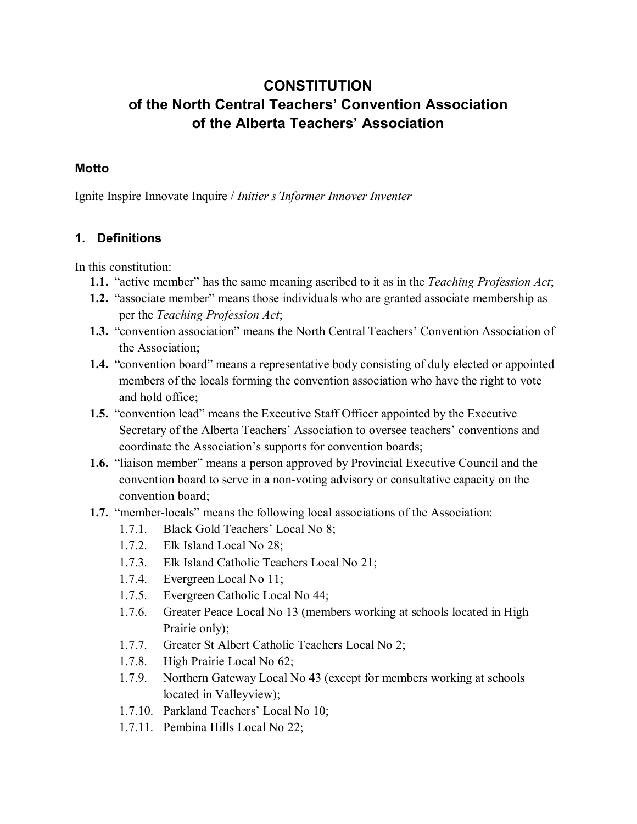# **CONSTITUTION of the North Central Teachers' Convention Association of the Alberta Teachers' Association**

#### **Motto**

Ignite Inspire Innovate Inquire / *Initier s'Informer Innover Inventer*

#### **1. Definitions**

In this constitution:

- **1.1.** "active member" has the same meaning ascribed to it as in the *Teaching Profession Act*;
- **1.2.** "associate member" means those individuals who are granted associate membership as per the *Teaching Profession Act*;
- **1.3.** "convention association" means the North Central Teachers' Convention Association of the Association;
- **1.4.** "convention board" means a representative body consisting of duly elected or appointed members of the locals forming the convention association who have the right to vote and hold office;
- **1.5.** "convention lead" means the Executive Staff Officer appointed by the Executive Secretary of the Alberta Teachers' Association to oversee teachers' conventions and coordinate the Association's supports for convention boards;
- **1.6.** "liaison member" means a person approved by Provincial Executive Council and the convention board to serve in a non-voting advisory or consultative capacity on the convention board;
- **1.7.** "member-locals" means the following local associations of the Association:
	- 1.7.1. Black Gold Teachers' Local No 8;
	- 1.7.2. Elk Island Local No 28;
	- 1.7.3. Elk Island Catholic Teachers Local No 21;
	- 1.7.4. Evergreen Local No 11;
	- 1.7.5. Evergreen Catholic Local No 44;
	- 1.7.6. Greater Peace Local No 13 (members working at schools located in High Prairie only);
	- 1.7.7. Greater St Albert Catholic Teachers Local No 2;
	- 1.7.8. High Prairie Local No 62;
	- 1.7.9. Northern Gateway Local No 43 (except for members working at schools located in Valleyview);
	- 1.7.10. Parkland Teachers' Local No 10;
	- 1.7.11. Pembina Hills Local No 22;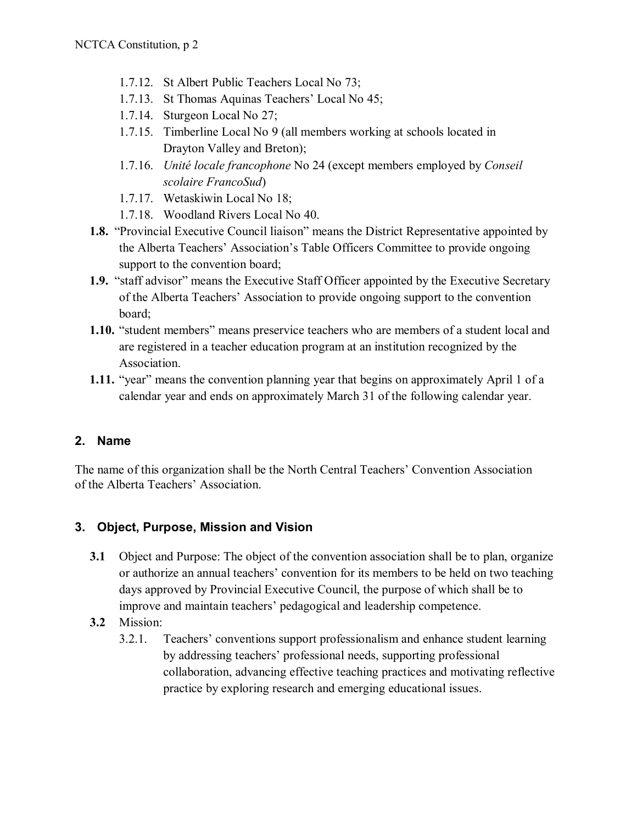- 1.7.12. St Albert Public Teachers Local No 73;
- 1.7.13. St Thomas Aquinas Teachers' Local No 45;
- 1.7.14. Sturgeon Local No 27;
- 1.7.15. Timberline Local No 9 (all members working at schools located in Drayton Valley and Breton);
- 1.7.16. *Unité locale francophone* No 24 (except members employed by *Conseil scolaire FrancoSud*)
- 1.7.17. Wetaskiwin Local No 18;
- 1.7.18. Woodland Rivers Local No 40.
- **1.8.** "Provincial Executive Council liaison" means the District Representative appointed by the Alberta Teachers' Association's Table Officers Committee to provide ongoing support to the convention board;
- **1.9.** "staff advisor" means the Executive Staff Officer appointed by the Executive Secretary of the Alberta Teachers' Association to provide ongoing support to the convention board;
- **1.10.** "student members" means preservice teachers who are members of a student local and are registered in a teacher education program at an institution recognized by the Association.
- **1.11.** "year" means the convention planning year that begins on approximately April 1 of a calendar year and ends on approximately March 31 of the following calendar year.

# **2. Name**

The name of this organization shall be the North Central Teachers' Convention Association of the Alberta Teachers' Association.

# **3. Object, Purpose, Mission and Vision**

- **3.1** Object and Purpose: The object of the convention association shall be to plan, organize or authorize an annual teachers' convention for its members to be held on two teaching days approved by Provincial Executive Council, the purpose of which shall be to improve and maintain teachers' pedagogical and leadership competence.
- **3.2** Mission:
	- 3.2.1. Teachers' conventions support professionalism and enhance student learning by addressing teachers' professional needs, supporting professional collaboration, advancing effective teaching practices and motivating reflective practice by exploring research and emerging educational issues.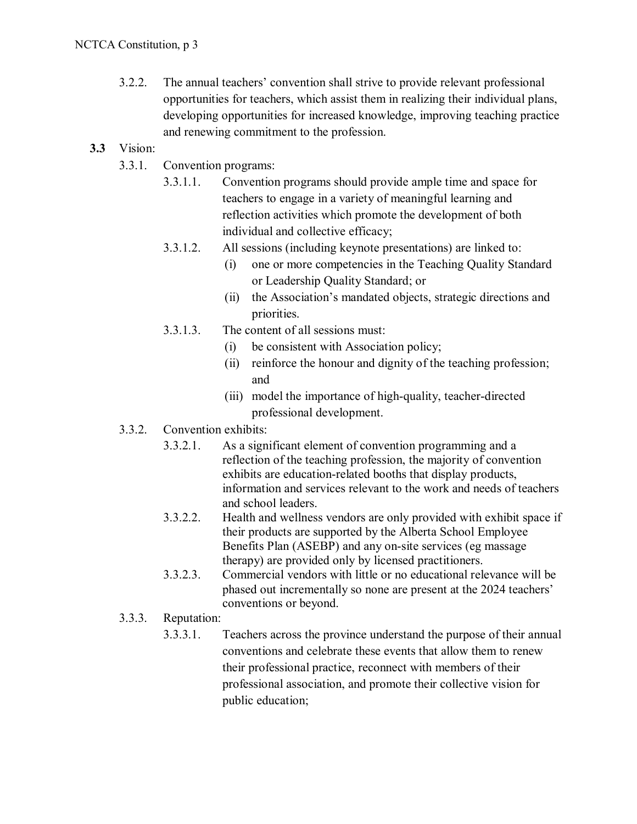- 3.2.2. The annual teachers' convention shall strive to provide relevant professional opportunities for teachers, which assist them in realizing their individual plans, developing opportunities for increased knowledge, improving teaching practice and renewing commitment to the profession.
- **3.3** Vision:
	- 3.3.1. Convention programs:
		- 3.3.1.1. Convention programs should provide ample time and space for teachers to engage in a variety of meaningful learning and reflection activities which promote the development of both individual and collective efficacy;
		- 3.3.1.2. All sessions (including keynote presentations) are linked to:
			- (i) one or more competencies in the Teaching Quality Standard or Leadership Quality Standard; or
			- (ii) the Association's mandated objects, strategic directions and priorities.
		- 3.3.1.3. The content of all sessions must:
			- (i) be consistent with Association policy;
			- (ii) reinforce the honour and dignity of the teaching profession; and
			- (iii) model the importance of high-quality, teacher-directed professional development.
	- 3.3.2. Convention exhibits:
		- 3.3.2.1. As a significant element of convention programming and a reflection of the teaching profession, the majority of convention exhibits are education-related booths that display products, information and services relevant to the work and needs of teachers and school leaders.
		- 3.3.2.2. Health and wellness vendors are only provided with exhibit space if their products are supported by the Alberta School Employee Benefits Plan (ASEBP) and any on-site services (eg massage therapy) are provided only by licensed practitioners.
		- 3.3.2.3. Commercial vendors with little or no educational relevance will be phased out incrementally so none are present at the 2024 teachers' conventions or beyond.
	- 3.3.3. Reputation:
		- 3.3.3.1. Teachers across the province understand the purpose of their annual conventions and celebrate these events that allow them to renew their professional practice, reconnect with members of their professional association, and promote their collective vision for public education;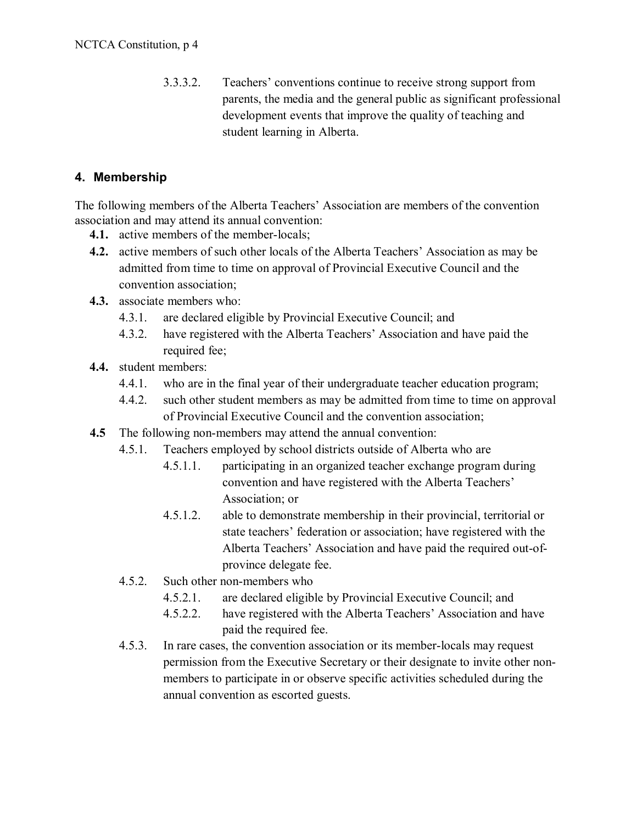3.3.3.2. Teachers' conventions continue to receive strong support from parents, the media and the general public as significant professional development events that improve the quality of teaching and student learning in Alberta.

# **4. Membership**

The following members of the Alberta Teachers' Association are members of the convention association and may attend its annual convention:

- **4.1.** active members of the member-locals;
- **4.2.** active members of such other locals of the Alberta Teachers' Association as may be admitted from time to time on approval of Provincial Executive Council and the convention association;
- **4.3.** associate members who:
	- 4.3.1. are declared eligible by Provincial Executive Council; and
	- 4.3.2. have registered with the Alberta Teachers' Association and have paid the required fee;
- **4.4.** student members:
	- 4.4.1. who are in the final year of their undergraduate teacher education program;
	- 4.4.2. such other student members as may be admitted from time to time on approval of Provincial Executive Council and the convention association;
- **4.5** The following non-members may attend the annual convention:
	- 4.5.1. Teachers employed by school districts outside of Alberta who are
		- 4.5.1.1. participating in an organized teacher exchange program during convention and have registered with the Alberta Teachers' Association; or
		- 4.5.1.2. able to demonstrate membership in their provincial, territorial or state teachers' federation or association; have registered with the Alberta Teachers' Association and have paid the required out-ofprovince delegate fee.
	- 4.5.2. Such other non-members who
		- 4.5.2.1. are declared eligible by Provincial Executive Council; and
		- 4.5.2.2. have registered with the Alberta Teachers' Association and have paid the required fee.
	- 4.5.3. In rare cases, the convention association or its member-locals may request permission from the Executive Secretary or their designate to invite other nonmembers to participate in or observe specific activities scheduled during the annual convention as escorted guests.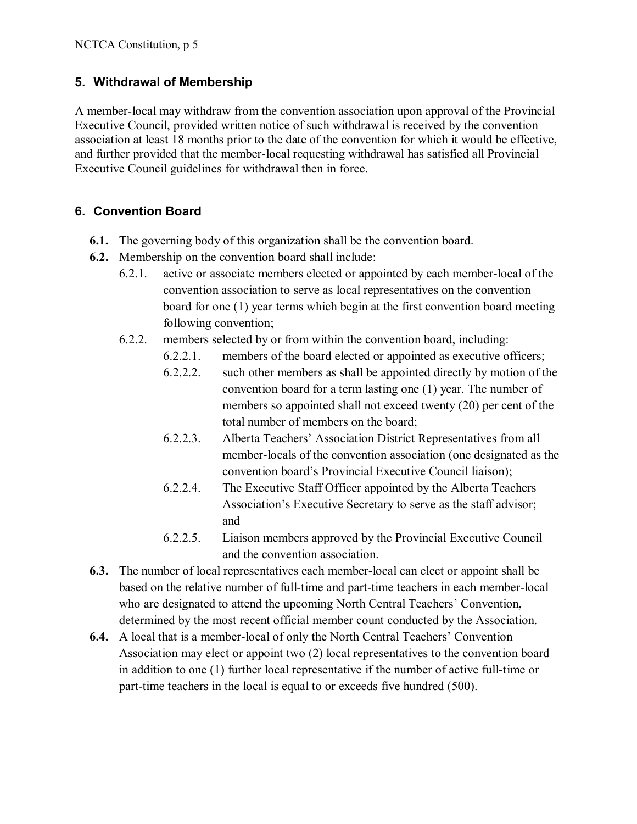# **5. Withdrawal of Membership**

A member-local may withdraw from the convention association upon approval of the Provincial Executive Council, provided written notice of such withdrawal is received by the convention association at least 18 months prior to the date of the convention for which it would be effective, and further provided that the member-local requesting withdrawal has satisfied all Provincial Executive Council guidelines for withdrawal then in force.

# **6. Convention Board**

- **6.1.** The governing body of this organization shall be the convention board.
- **6.2.** Membership on the convention board shall include:
	- 6.2.1. active or associate members elected or appointed by each member-local of the convention association to serve as local representatives on the convention board for one (1) year terms which begin at the first convention board meeting following convention;
	- 6.2.2. members selected by or from within the convention board, including:
		- 6.2.2.1. members of the board elected or appointed as executive officers;
		- 6.2.2.2. such other members as shall be appointed directly by motion of the convention board for a term lasting one (1) year. The number of members so appointed shall not exceed twenty (20) per cent of the total number of members on the board;
		- 6.2.2.3. Alberta Teachers' Association District Representatives from all member-locals of the convention association (one designated as the convention board's Provincial Executive Council liaison);
		- 6.2.2.4. The Executive Staff Officer appointed by the Alberta Teachers Association's Executive Secretary to serve as the staff advisor; and
		- 6.2.2.5. Liaison members approved by the Provincial Executive Council and the convention association.
- **6.3.** The number of local representatives each member-local can elect or appoint shall be based on the relative number of full-time and part-time teachers in each member-local who are designated to attend the upcoming North Central Teachers' Convention, determined by the most recent official member count conducted by the Association.
- **6.4.** A local that is a member-local of only the North Central Teachers' Convention Association may elect or appoint two (2) local representatives to the convention board in addition to one (1) further local representative if the number of active full-time or part-time teachers in the local is equal to or exceeds five hundred (500).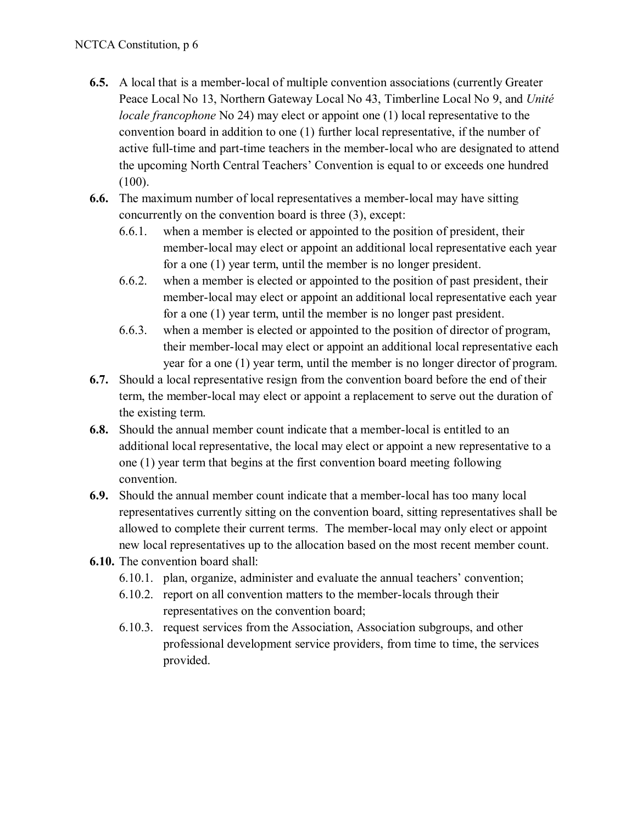- **6.5.** A local that is a member-local of multiple convention associations (currently Greater Peace Local No 13, Northern Gateway Local No 43, Timberline Local No 9, and *Unité locale francophone* No 24) may elect or appoint one (1) local representative to the convention board in addition to one (1) further local representative, if the number of active full-time and part-time teachers in the member-local who are designated to attend the upcoming North Central Teachers' Convention is equal to or exceeds one hundred (100).
- **6.6.** The maximum number of local representatives a member-local may have sitting concurrently on the convention board is three (3), except:
	- 6.6.1. when a member is elected or appointed to the position of president, their member-local may elect or appoint an additional local representative each year for a one (1) year term, until the member is no longer president.
	- 6.6.2. when a member is elected or appointed to the position of past president, their member-local may elect or appoint an additional local representative each year for a one (1) year term, until the member is no longer past president.
	- 6.6.3. when a member is elected or appointed to the position of director of program, their member-local may elect or appoint an additional local representative each year for a one (1) year term, until the member is no longer director of program.
- **6.7.** Should a local representative resign from the convention board before the end of their term, the member-local may elect or appoint a replacement to serve out the duration of the existing term.
- **6.8.** Should the annual member count indicate that a member-local is entitled to an additional local representative, the local may elect or appoint a new representative to a one (1) year term that begins at the first convention board meeting following convention.
- **6.9.** Should the annual member count indicate that a member-local has too many local representatives currently sitting on the convention board, sitting representatives shall be allowed to complete their current terms. The member-local may only elect or appoint new local representatives up to the allocation based on the most recent member count.
- **6.10.** The convention board shall:
	- 6.10.1. plan, organize, administer and evaluate the annual teachers' convention;
	- 6.10.2. report on all convention matters to the member-locals through their representatives on the convention board;
	- 6.10.3. request services from the Association, Association subgroups, and other professional development service providers, from time to time, the services provided.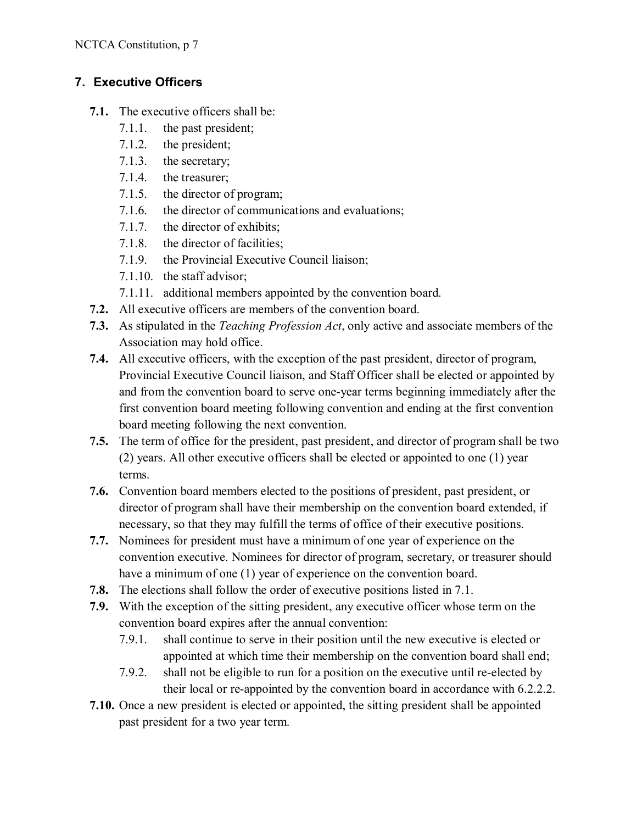# **7. Executive Officers**

- **7.1.** The executive officers shall be:
	- 7.1.1. the past president;
	- 7.1.2. the president;
	- 7.1.3. the secretary;
	- 7.1.4. the treasurer;
	- 7.1.5. the director of program;
	- 7.1.6. the director of communications and evaluations;
	- 7.1.7. the director of exhibits;
	- 7.1.8. the director of facilities;
	- 7.1.9. the Provincial Executive Council liaison;
	- 7.1.10. the staff advisor;
	- 7.1.11. additional members appointed by the convention board.
- **7.2.** All executive officers are members of the convention board.
- **7.3.** As stipulated in the *Teaching Profession Act*, only active and associate members of the Association may hold office.
- **7.4.** All executive officers, with the exception of the past president, director of program, Provincial Executive Council liaison, and Staff Officer shall be elected or appointed by and from the convention board to serve one-year terms beginning immediately after the first convention board meeting following convention and ending at the first convention board meeting following the next convention.
- **7.5.** The term of office for the president, past president, and director of program shall be two (2) years. All other executive officers shall be elected or appointed to one (1) year terms.
- **7.6.** Convention board members elected to the positions of president, past president, or director of program shall have their membership on the convention board extended, if necessary, so that they may fulfill the terms of office of their executive positions.
- **7.7.** Nominees for president must have a minimum of one year of experience on the convention executive. Nominees for director of program, secretary, or treasurer should have a minimum of one (1) year of experience on the convention board.
- **7.8.** The elections shall follow the order of executive positions listed in 7.1.
- **7.9.** With the exception of the sitting president, any executive officer whose term on the convention board expires after the annual convention:
	- 7.9.1. shall continue to serve in their position until the new executive is elected or appointed at which time their membership on the convention board shall end;
	- 7.9.2. shall not be eligible to run for a position on the executive until re-elected by their local or re-appointed by the convention board in accordance with 6.2.2.2.
- **7.10.** Once a new president is elected or appointed, the sitting president shall be appointed past president for a two year term.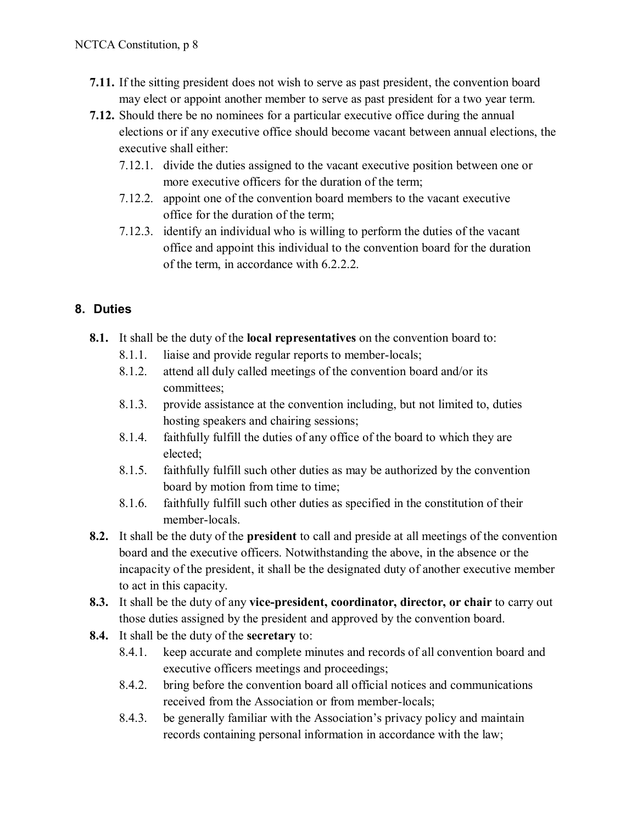- **7.11.** If the sitting president does not wish to serve as past president, the convention board may elect or appoint another member to serve as past president for a two year term.
- **7.12.** Should there be no nominees for a particular executive office during the annual elections or if any executive office should become vacant between annual elections, the executive shall either:
	- 7.12.1. divide the duties assigned to the vacant executive position between one or more executive officers for the duration of the term;
	- 7.12.2. appoint one of the convention board members to the vacant executive office for the duration of the term;
	- 7.12.3. identify an individual who is willing to perform the duties of the vacant office and appoint this individual to the convention board for the duration of the term, in accordance with 6.2.2.2.

# **8. Duties**

- **8.1.** It shall be the duty of the **local representatives** on the convention board to:
	- 8.1.1. liaise and provide regular reports to member-locals;
	- 8.1.2. attend all duly called meetings of the convention board and/or its committees;
	- 8.1.3. provide assistance at the convention including, but not limited to, duties hosting speakers and chairing sessions;
	- 8.1.4. faithfully fulfill the duties of any office of the board to which they are elected;
	- 8.1.5. faithfully fulfill such other duties as may be authorized by the convention board by motion from time to time;
	- 8.1.6. faithfully fulfill such other duties as specified in the constitution of their member-locals.
- **8.2.** It shall be the duty of the **president** to call and preside at all meetings of the convention board and the executive officers. Notwithstanding the above, in the absence or the incapacity of the president, it shall be the designated duty of another executive member to act in this capacity.
- **8.3.** It shall be the duty of any **vice-president, coordinator, director, or chair** to carry out those duties assigned by the president and approved by the convention board.
- **8.4.** It shall be the duty of the **secretary** to:
	- 8.4.1. keep accurate and complete minutes and records of all convention board and executive officers meetings and proceedings;
	- 8.4.2. bring before the convention board all official notices and communications received from the Association or from member-locals;
	- 8.4.3. be generally familiar with the Association's privacy policy and maintain records containing personal information in accordance with the law;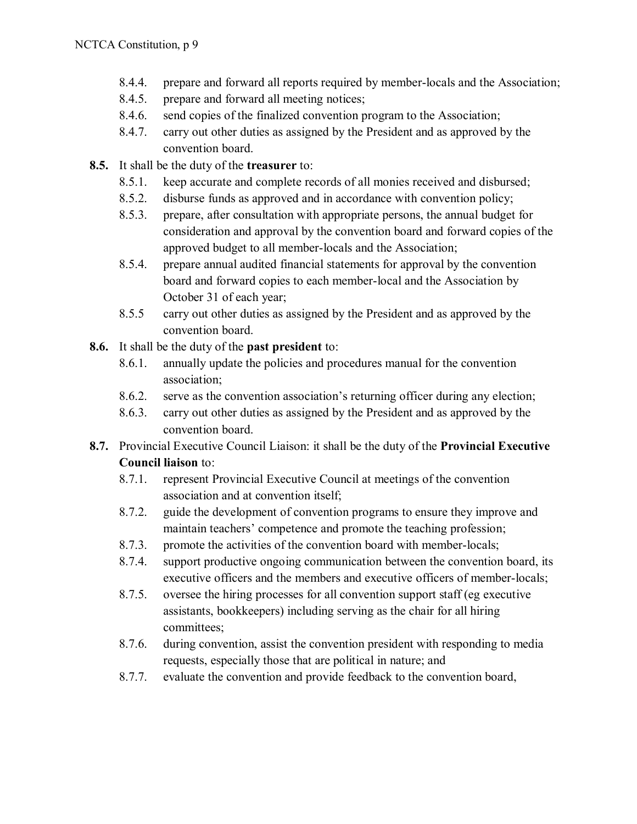- 8.4.4. prepare and forward all reports required by member-locals and the Association;
- 8.4.5. prepare and forward all meeting notices;
- 8.4.6. send copies of the finalized convention program to the Association;
- 8.4.7. carry out other duties as assigned by the President and as approved by the convention board.
- **8.5.** It shall be the duty of the **treasurer** to:
	- 8.5.1. keep accurate and complete records of all monies received and disbursed;
	- 8.5.2. disburse funds as approved and in accordance with convention policy;
	- 8.5.3. prepare, after consultation with appropriate persons, the annual budget for consideration and approval by the convention board and forward copies of the approved budget to all member-locals and the Association;
	- 8.5.4. prepare annual audited financial statements for approval by the convention board and forward copies to each member-local and the Association by October 31 of each year;
	- 8.5.5 carry out other duties as assigned by the President and as approved by the convention board.
- **8.6.** It shall be the duty of the **past president** to:
	- 8.6.1. annually update the policies and procedures manual for the convention association;
	- 8.6.2. serve as the convention association's returning officer during any election;
	- 8.6.3. carry out other duties as assigned by the President and as approved by the convention board.
- **8.7.** Provincial Executive Council Liaison: it shall be the duty of the **Provincial Executive Council liaison** to:
	- 8.7.1. represent Provincial Executive Council at meetings of the convention association and at convention itself;
	- 8.7.2. guide the development of convention programs to ensure they improve and maintain teachers' competence and promote the teaching profession;
	- 8.7.3. promote the activities of the convention board with member-locals;
	- 8.7.4. support productive ongoing communication between the convention board, its executive officers and the members and executive officers of member-locals;
	- 8.7.5. oversee the hiring processes for all convention support staff (eg executive assistants, bookkeepers) including serving as the chair for all hiring committees;
	- 8.7.6. during convention, assist the convention president with responding to media requests, especially those that are political in nature; and
	- 8.7.7. evaluate the convention and provide feedback to the convention board,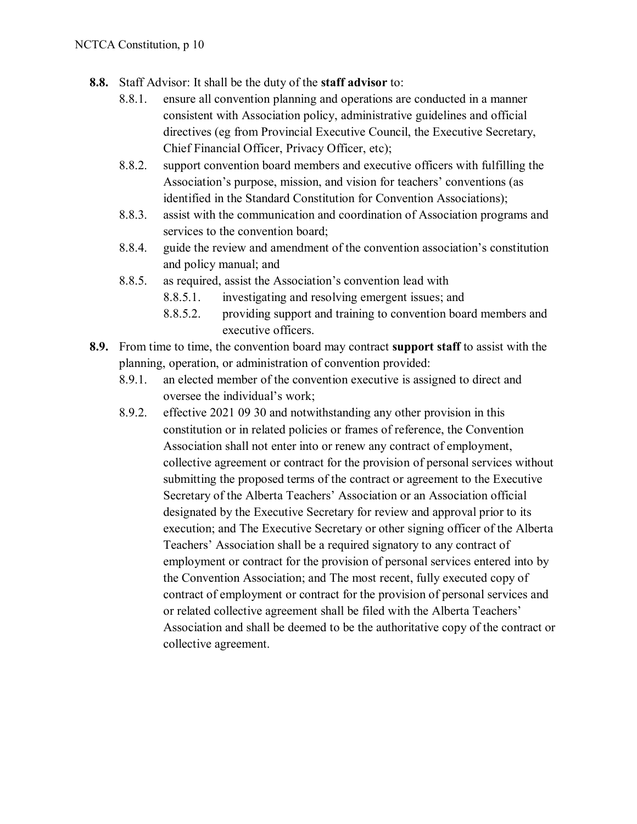- **8.8.** Staff Advisor: It shall be the duty of the **staff advisor** to:
	- 8.8.1. ensure all convention planning and operations are conducted in a manner consistent with Association policy, administrative guidelines and official directives (eg from Provincial Executive Council, the Executive Secretary, Chief Financial Officer, Privacy Officer, etc);
	- 8.8.2. support convention board members and executive officers with fulfilling the Association's purpose, mission, and vision for teachers' conventions (as identified in the Standard Constitution for Convention Associations);
	- 8.8.3. assist with the communication and coordination of Association programs and services to the convention board;
	- 8.8.4. guide the review and amendment of the convention association's constitution and policy manual; and
	- 8.8.5. as required, assist the Association's convention lead with
		- 8.8.5.1. investigating and resolving emergent issues; and
		- 8.8.5.2. providing support and training to convention board members and executive officers.
- **8.9.** From time to time, the convention board may contract **support staff** to assist with the planning, operation, or administration of convention provided:
	- 8.9.1. an elected member of the convention executive is assigned to direct and oversee the individual's work;
	- 8.9.2. effective 2021 09 30 and notwithstanding any other provision in this constitution or in related policies or frames of reference, the Convention Association shall not enter into or renew any contract of employment, collective agreement or contract for the provision of personal services without submitting the proposed terms of the contract or agreement to the Executive Secretary of the Alberta Teachers' Association or an Association official designated by the Executive Secretary for review and approval prior to its execution; and The Executive Secretary or other signing officer of the Alberta Teachers' Association shall be a required signatory to any contract of employment or contract for the provision of personal services entered into by the Convention Association; and The most recent, fully executed copy of contract of employment or contract for the provision of personal services and or related collective agreement shall be filed with the Alberta Teachers' Association and shall be deemed to be the authoritative copy of the contract or collective agreement.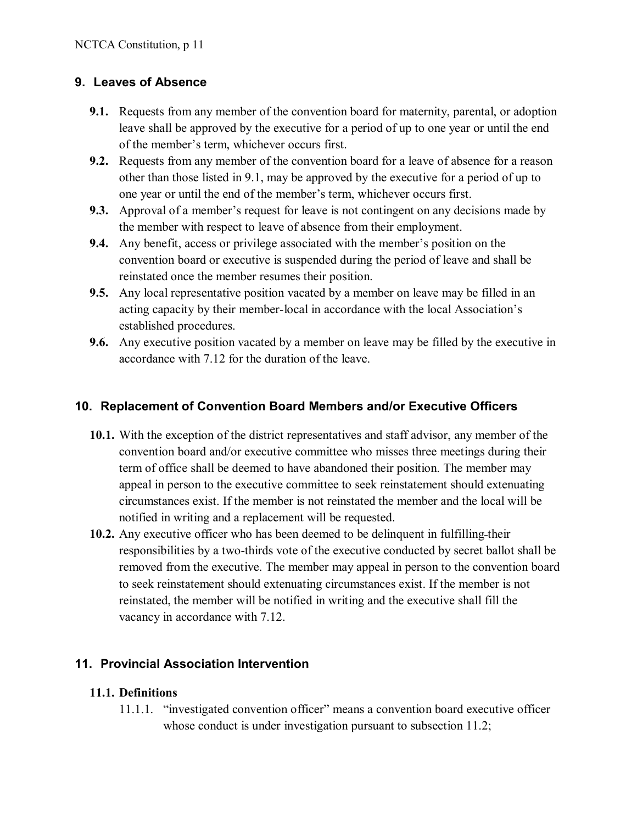## **9. Leaves of Absence**

- **9.1.** Requests from any member of the convention board for maternity, parental, or adoption leave shall be approved by the executive for a period of up to one year or until the end of the member's term, whichever occurs first.
- **9.2.** Requests from any member of the convention board for a leave of absence for a reason other than those listed in 9.1, may be approved by the executive for a period of up to one year or until the end of the member's term, whichever occurs first.
- **9.3.** Approval of a member's request for leave is not contingent on any decisions made by the member with respect to leave of absence from their employment.
- **9.4.** Any benefit, access or privilege associated with the member's position on the convention board or executive is suspended during the period of leave and shall be reinstated once the member resumes their position.
- **9.5.** Any local representative position vacated by a member on leave may be filled in an acting capacity by their member-local in accordance with the local Association's established procedures.
- **9.6.** Any executive position vacated by a member on leave may be filled by the executive in accordance with 7.12 for the duration of the leave.

### **10. Replacement of Convention Board Members and/or Executive Officers**

- **10.1.** With the exception of the district representatives and staff advisor, any member of the convention board and/or executive committee who misses three meetings during their term of office shall be deemed to have abandoned their position. The member may appeal in person to the executive committee to seek reinstatement should extenuating circumstances exist. If the member is not reinstated the member and the local will be notified in writing and a replacement will be requested.
- **10.2.** Any executive officer who has been deemed to be delinquent in fulfilling their responsibilities by a two-thirds vote of the executive conducted by secret ballot shall be removed from the executive. The member may appeal in person to the convention board to seek reinstatement should extenuating circumstances exist. If the member is not reinstated, the member will be notified in writing and the executive shall fill the vacancy in accordance with 7.12.

### **11. Provincial Association Intervention**

#### **11.1. Definitions**

11.1.1. "investigated convention officer" means a convention board executive officer whose conduct is under investigation pursuant to subsection 11.2;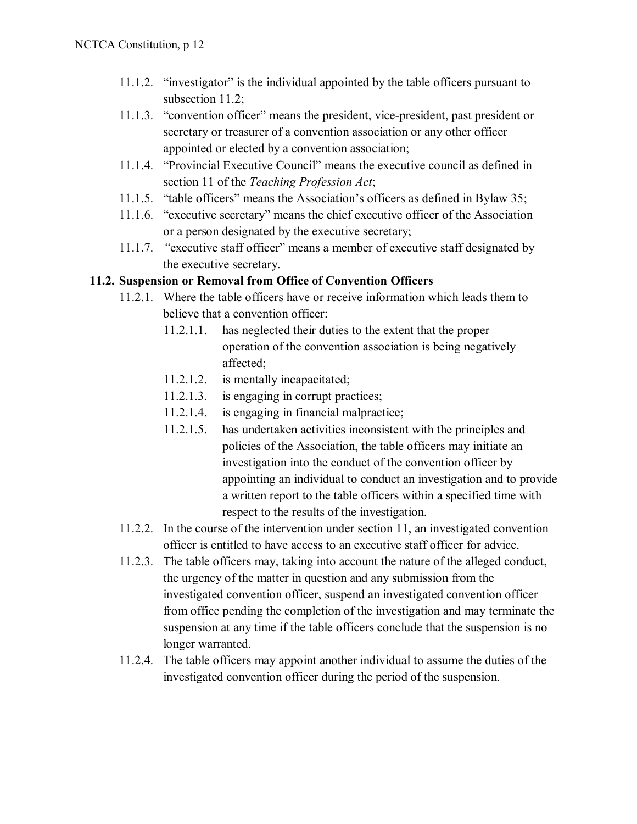- 11.1.2. "investigator" is the individual appointed by the table officers pursuant to subsection 11.2;
- 11.1.3. "convention officer" means the president, vice-president, past president or secretary or treasurer of a convention association or any other officer appointed or elected by a convention association;
- 11.1.4. "Provincial Executive Council" means the executive council as defined in section 11 of the *Teaching Profession Act*;
- 11.1.5. "table officers" means the Association's officers as defined in Bylaw 35;
- 11.1.6. "executive secretary" means the chief executive officer of the Association or a person designated by the executive secretary;
- 11.1.7. *"*executive staff officer" means a member of executive staff designated by the executive secretary.

#### **11.2. Suspension or Removal from Office of Convention Officers**

- 11.2.1. Where the table officers have or receive information which leads them to believe that a convention officer:
	- 11.2.1.1. has neglected their duties to the extent that the proper operation of the convention association is being negatively affected;
	- 11.2.1.2. is mentally incapacitated;
	- 11.2.1.3. is engaging in corrupt practices;
	- 11.2.1.4. is engaging in financial malpractice;
	- 11.2.1.5. has undertaken activities inconsistent with the principles and policies of the Association, the table officers may initiate an investigation into the conduct of the convention officer by appointing an individual to conduct an investigation and to provide a written report to the table officers within a specified time with respect to the results of the investigation.
- 11.2.2. In the course of the intervention under section 11, an investigated convention officer is entitled to have access to an executive staff officer for advice.
- 11.2.3. The table officers may, taking into account the nature of the alleged conduct, the urgency of the matter in question and any submission from the investigated convention officer, suspend an investigated convention officer from office pending the completion of the investigation and may terminate the suspension at any time if the table officers conclude that the suspension is no longer warranted.
- 11.2.4. The table officers may appoint another individual to assume the duties of the investigated convention officer during the period of the suspension.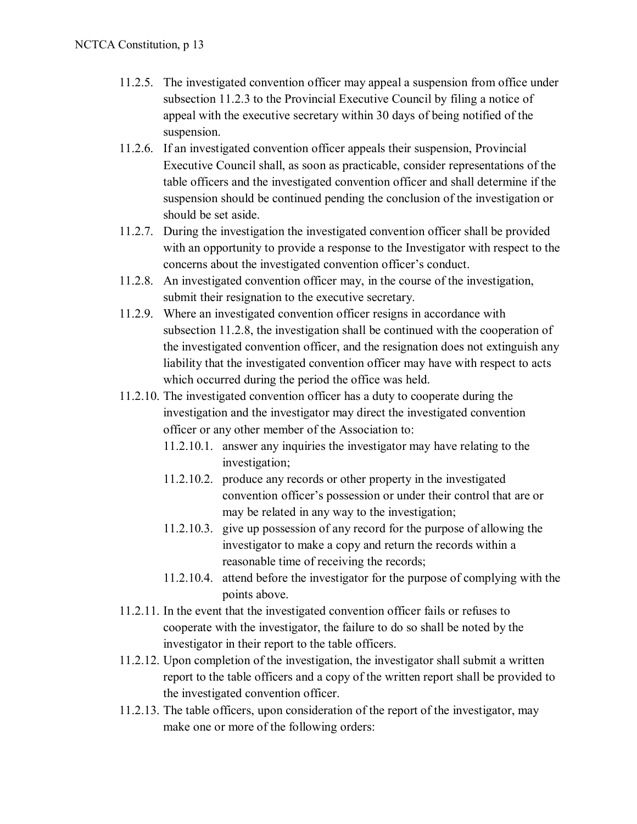- 11.2.5. The investigated convention officer may appeal a suspension from office under subsection 11.2.3 to the Provincial Executive Council by filing a notice of appeal with the executive secretary within 30 days of being notified of the suspension.
- 11.2.6. If an investigated convention officer appeals their suspension, Provincial Executive Council shall, as soon as practicable, consider representations of the table officers and the investigated convention officer and shall determine if the suspension should be continued pending the conclusion of the investigation or should be set aside.
- 11.2.7. During the investigation the investigated convention officer shall be provided with an opportunity to provide a response to the Investigator with respect to the concerns about the investigated convention officer's conduct.
- 11.2.8. An investigated convention officer may, in the course of the investigation, submit their resignation to the executive secretary.
- 11.2.9. Where an investigated convention officer resigns in accordance with subsection 11.2.8, the investigation shall be continued with the cooperation of the investigated convention officer, and the resignation does not extinguish any liability that the investigated convention officer may have with respect to acts which occurred during the period the office was held.
- 11.2.10. The investigated convention officer has a duty to cooperate during the investigation and the investigator may direct the investigated convention officer or any other member of the Association to:
	- 11.2.10.1. answer any inquiries the investigator may have relating to the investigation;
	- 11.2.10.2. produce any records or other property in the investigated convention officer's possession or under their control that are or may be related in any way to the investigation;
	- 11.2.10.3. give up possession of any record for the purpose of allowing the investigator to make a copy and return the records within a reasonable time of receiving the records;
	- 11.2.10.4. attend before the investigator for the purpose of complying with the points above.
- 11.2.11. In the event that the investigated convention officer fails or refuses to cooperate with the investigator, the failure to do so shall be noted by the investigator in their report to the table officers.
- 11.2.12. Upon completion of the investigation, the investigator shall submit a written report to the table officers and a copy of the written report shall be provided to the investigated convention officer.
- 11.2.13. The table officers, upon consideration of the report of the investigator, may make one or more of the following orders: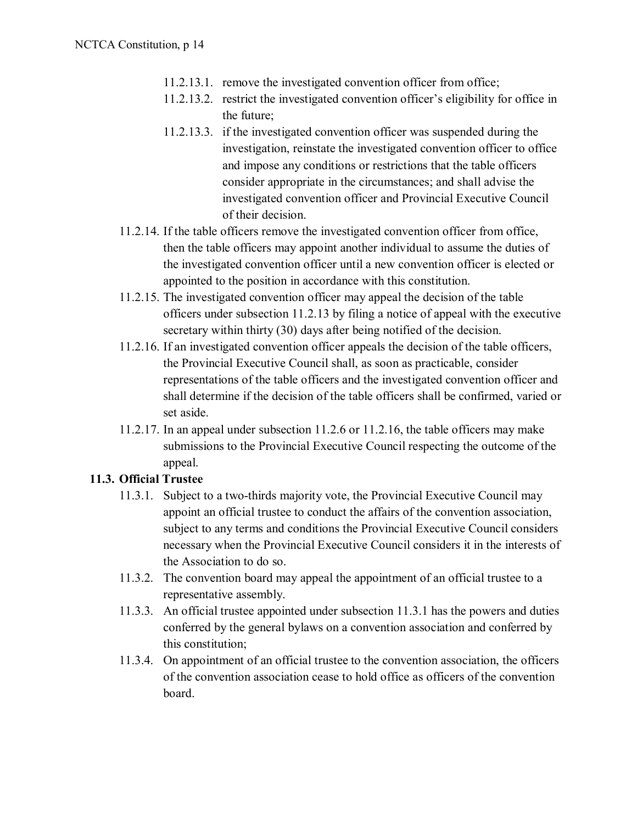- 11.2.13.1. remove the investigated convention officer from office;
- 11.2.13.2. restrict the investigated convention officer's eligibility for office in the future;
- 11.2.13.3. if the investigated convention officer was suspended during the investigation, reinstate the investigated convention officer to office and impose any conditions or restrictions that the table officers consider appropriate in the circumstances; and shall advise the investigated convention officer and Provincial Executive Council of their decision.
- 11.2.14. If the table officers remove the investigated convention officer from office, then the table officers may appoint another individual to assume the duties of the investigated convention officer until a new convention officer is elected or appointed to the position in accordance with this constitution.
- 11.2.15. The investigated convention officer may appeal the decision of the table officers under subsection 11.2.13 by filing a notice of appeal with the executive secretary within thirty (30) days after being notified of the decision.
- 11.2.16. If an investigated convention officer appeals the decision of the table officers, the Provincial Executive Council shall, as soon as practicable, consider representations of the table officers and the investigated convention officer and shall determine if the decision of the table officers shall be confirmed, varied or set aside.
- 11.2.17. In an appeal under subsection 11.2.6 or 11.2.16, the table officers may make submissions to the Provincial Executive Council respecting the outcome of the appeal.

### **11.3. Official Trustee**

- 11.3.1. Subject to a two-thirds majority vote, the Provincial Executive Council may appoint an official trustee to conduct the affairs of the convention association, subject to any terms and conditions the Provincial Executive Council considers necessary when the Provincial Executive Council considers it in the interests of the Association to do so.
- 11.3.2. The convention board may appeal the appointment of an official trustee to a representative assembly.
- 11.3.3. An official trustee appointed under subsection 11.3.1 has the powers and duties conferred by the general bylaws on a convention association and conferred by this constitution;
- 11.3.4. On appointment of an official trustee to the convention association, the officers of the convention association cease to hold office as officers of the convention board.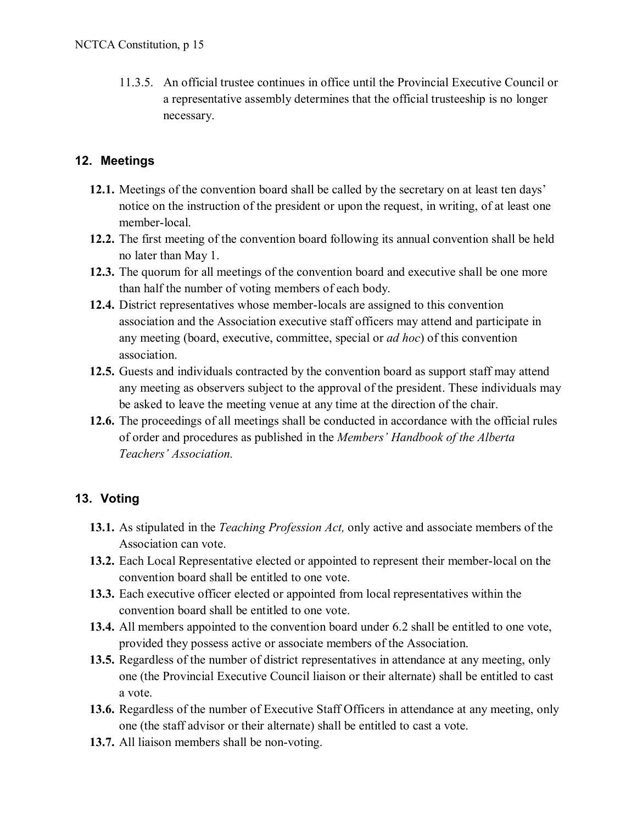11.3.5. An official trustee continues in office until the Provincial Executive Council or a representative assembly determines that the official trusteeship is no longer necessary.

## **12. Meetings**

- **12.1.** Meetings of the convention board shall be called by the secretary on at least ten days' notice on the instruction of the president or upon the request, in writing, of at least one member-local.
- **12.2.** The first meeting of the convention board following its annual convention shall be held no later than May 1.
- **12.3.** The quorum for all meetings of the convention board and executive shall be one more than half the number of voting members of each body.
- **12.4.** District representatives whose member-locals are assigned to this convention association and the Association executive staff officers may attend and participate in any meeting (board, executive, committee, special or *ad hoc*) of this convention association.
- **12.5.** Guests and individuals contracted by the convention board as support staff may attend any meeting as observers subject to the approval of the president. These individuals may be asked to leave the meeting venue at any time at the direction of the chair.
- **12.6.** The proceedings of all meetings shall be conducted in accordance with the official rules of order and procedures as published in the *Members' Handbook of the Alberta Teachers' Association.*

# **13. Voting**

- **13.1.** As stipulated in the *Teaching Profession Act,* only active and associate members of the Association can vote.
- **13.2.** Each Local Representative elected or appointed to represent their member-local on the convention board shall be entitled to one vote.
- **13.3.** Each executive officer elected or appointed from local representatives within the convention board shall be entitled to one vote.
- **13.4.** All members appointed to the convention board under 6.2 shall be entitled to one vote, provided they possess active or associate members of the Association.
- **13.5.** Regardless of the number of district representatives in attendance at any meeting, only one (the Provincial Executive Council liaison or their alternate) shall be entitled to cast a vote.
- **13.6.** Regardless of the number of Executive Staff Officers in attendance at any meeting, only one (the staff advisor or their alternate) shall be entitled to cast a vote.
- **13.7.** All liaison members shall be non-voting.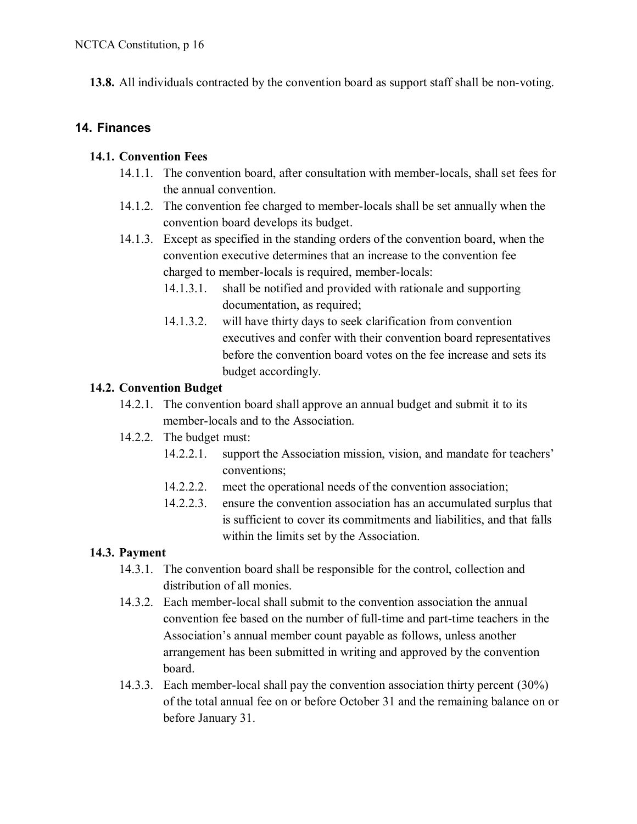**13.8.** All individuals contracted by the convention board as support staff shall be non-voting.

### **14. Finances**

#### **14.1. Convention Fees**

- 14.1.1. The convention board, after consultation with member-locals, shall set fees for the annual convention.
- 14.1.2. The convention fee charged to member-locals shall be set annually when the convention board develops its budget.
- 14.1.3. Except as specified in the standing orders of the convention board, when the convention executive determines that an increase to the convention fee charged to member-locals is required, member-locals:
	- 14.1.3.1. shall be notified and provided with rationale and supporting documentation, as required;
	- 14.1.3.2. will have thirty days to seek clarification from convention executives and confer with their convention board representatives before the convention board votes on the fee increase and sets its budget accordingly.

#### **14.2. Convention Budget**

- 14.2.1. The convention board shall approve an annual budget and submit it to its member-locals and to the Association.
- 14.2.2. The budget must:
	- 14.2.2.1. support the Association mission, vision, and mandate for teachers' conventions;
	- 14.2.2.2. meet the operational needs of the convention association;
	- 14.2.2.3. ensure the convention association has an accumulated surplus that is sufficient to cover its commitments and liabilities, and that falls within the limits set by the Association.

### **14.3. Payment**

- 14.3.1. The convention board shall be responsible for the control, collection and distribution of all monies.
- 14.3.2. Each member-local shall submit to the convention association the annual convention fee based on the number of full-time and part-time teachers in the Association's annual member count payable as follows, unless another arrangement has been submitted in writing and approved by the convention board.
- 14.3.3. Each member-local shall pay the convention association thirty percent (30%) of the total annual fee on or before October 31 and the remaining balance on or before January 31.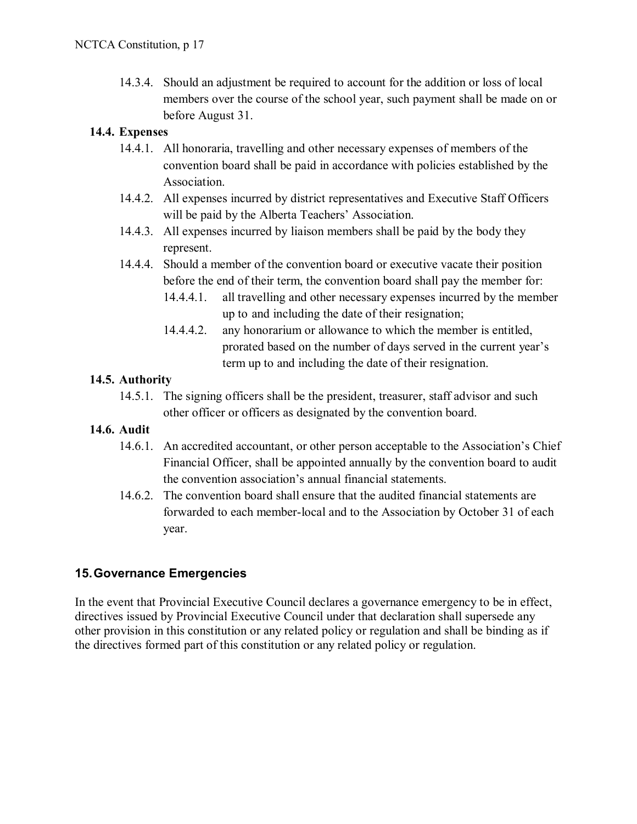14.3.4. Should an adjustment be required to account for the addition or loss of local members over the course of the school year, such payment shall be made on or before August 31.

#### **14.4. Expenses**

- 14.4.1. All honoraria, travelling and other necessary expenses of members of the convention board shall be paid in accordance with policies established by the Association.
- 14.4.2. All expenses incurred by district representatives and Executive Staff Officers will be paid by the Alberta Teachers' Association.
- 14.4.3. All expenses incurred by liaison members shall be paid by the body they represent.
- 14.4.4. Should a member of the convention board or executive vacate their position before the end of their term, the convention board shall pay the member for:
	- 14.4.4.1. all travelling and other necessary expenses incurred by the member up to and including the date of their resignation;
	- 14.4.4.2. any honorarium or allowance to which the member is entitled, prorated based on the number of days served in the current year's term up to and including the date of their resignation.

#### **14.5. Authority**

- 14.5.1. The signing officers shall be the president, treasurer, staff advisor and such other officer or officers as designated by the convention board.
- **14.6. Audit**
	- 14.6.1. An accredited accountant, or other person acceptable to the Association's Chief Financial Officer, shall be appointed annually by the convention board to audit the convention association's annual financial statements.
	- 14.6.2. The convention board shall ensure that the audited financial statements are forwarded to each member-local and to the Association by October 31 of each year.

### **15.Governance Emergencies**

In the event that Provincial Executive Council declares a governance emergency to be in effect, directives issued by Provincial Executive Council under that declaration shall supersede any other provision in this constitution or any related policy or regulation and shall be binding as if the directives formed part of this constitution or any related policy or regulation.